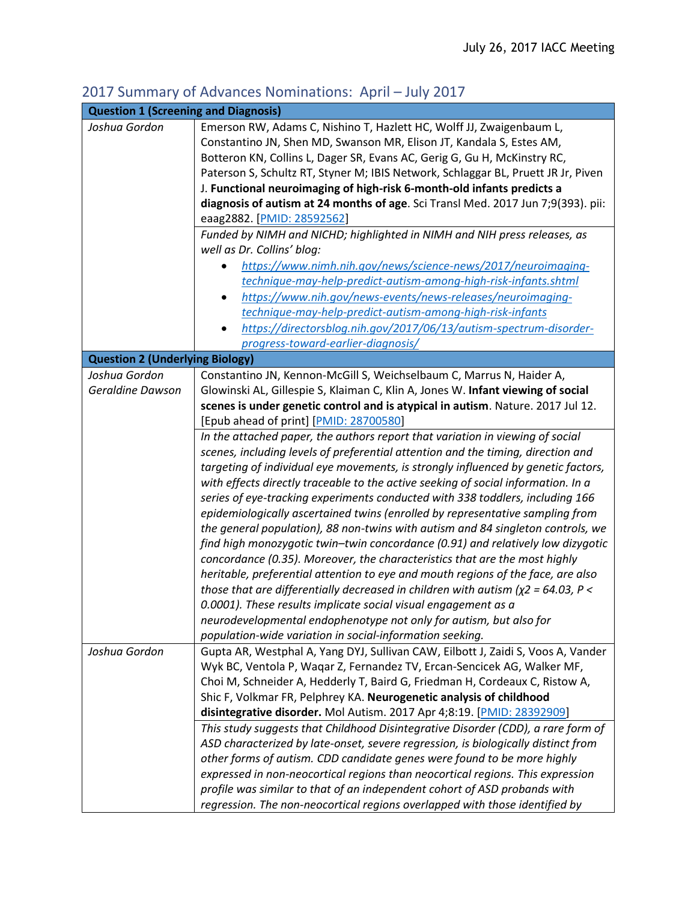## 2017 Summary of Advances Nominations: April – July 2017

| <b>Question 1 (Screening and Diagnosis)</b> |                                                                                         |
|---------------------------------------------|-----------------------------------------------------------------------------------------|
| Joshua Gordon                               | Emerson RW, Adams C, Nishino T, Hazlett HC, Wolff JJ, Zwaigenbaum L,                    |
|                                             | Constantino JN, Shen MD, Swanson MR, Elison JT, Kandala S, Estes AM,                    |
|                                             | Botteron KN, Collins L, Dager SR, Evans AC, Gerig G, Gu H, McKinstry RC,                |
|                                             | Paterson S, Schultz RT, Styner M; IBIS Network, Schlaggar BL, Pruett JR Jr, Piven       |
|                                             | J. Functional neuroimaging of high-risk 6-month-old infants predicts a                  |
|                                             | diagnosis of autism at 24 months of age. Sci Transl Med. 2017 Jun 7;9(393). pii:        |
|                                             | eaag2882. [PMID: 28592562]                                                              |
|                                             | Funded by NIMH and NICHD; highlighted in NIMH and NIH press releases, as                |
|                                             | well as Dr. Collins' blog:                                                              |
|                                             | https://www.nimh.nih.gov/news/science-news/2017/neuroimaging-                           |
|                                             | technique-may-help-predict-autism-among-high-risk-infants.shtml                         |
|                                             | https://www.nih.gov/news-events/news-releases/neuroimaging-                             |
|                                             | technique-may-help-predict-autism-among-high-risk-infants                               |
|                                             | https://directorsblog.nih.gov/2017/06/13/autism-spectrum-disorder-                      |
|                                             | progress-toward-earlier-diagnosis/                                                      |
| <b>Question 2 (Underlying Biology)</b>      |                                                                                         |
| Joshua Gordon                               | Constantino JN, Kennon-McGill S, Weichselbaum C, Marrus N, Haider A,                    |
| Geraldine Dawson                            | Glowinski AL, Gillespie S, Klaiman C, Klin A, Jones W. Infant viewing of social         |
|                                             | scenes is under genetic control and is atypical in autism. Nature. 2017 Jul 12.         |
|                                             | [Epub ahead of print] [PMID: 28700580]                                                  |
|                                             | In the attached paper, the authors report that variation in viewing of social           |
|                                             | scenes, including levels of preferential attention and the timing, direction and        |
|                                             | targeting of individual eye movements, is strongly influenced by genetic factors,       |
|                                             | with effects directly traceable to the active seeking of social information. In a       |
|                                             | series of eye-tracking experiments conducted with 338 toddlers, including 166           |
|                                             | epidemiologically ascertained twins (enrolled by representative sampling from           |
|                                             | the general population), 88 non-twins with autism and 84 singleton controls, we         |
|                                             | find high monozygotic twin-twin concordance (0.91) and relatively low dizygotic         |
|                                             | concordance (0.35). Moreover, the characteristics that are the most highly              |
|                                             | heritable, preferential attention to eye and mouth regions of the face, are also        |
|                                             | those that are differentially decreased in children with autism ( $\chi$ 2 = 64.03, P < |
|                                             | 0.0001). These results implicate social visual engagement as a                          |
|                                             | neurodevelopmental endophenotype not only for autism, but also for                      |
|                                             | population-wide variation in social-information seeking.                                |
| Joshua Gordon                               | Gupta AR, Westphal A, Yang DYJ, Sullivan CAW, Eilbott J, Zaidi S, Voos A, Vander        |
|                                             | Wyk BC, Ventola P, Waqar Z, Fernandez TV, Ercan-Sencicek AG, Walker MF,                 |
|                                             | Choi M, Schneider A, Hedderly T, Baird G, Friedman H, Cordeaux C, Ristow A,             |
|                                             | Shic F, Volkmar FR, Pelphrey KA. Neurogenetic analysis of childhood                     |
|                                             | disintegrative disorder. Mol Autism. 2017 Apr 4;8:19. [PMID: 28392909]                  |
|                                             | This study suggests that Childhood Disintegrative Disorder (CDD), a rare form of        |
|                                             | ASD characterized by late-onset, severe regression, is biologically distinct from       |
|                                             | other forms of autism. CDD candidate genes were found to be more highly                 |
|                                             |                                                                                         |
|                                             | expressed in non-neocortical regions than neocortical regions. This expression          |
|                                             | profile was similar to that of an independent cohort of ASD probands with               |
|                                             | regression. The non-neocortical regions overlapped with those identified by             |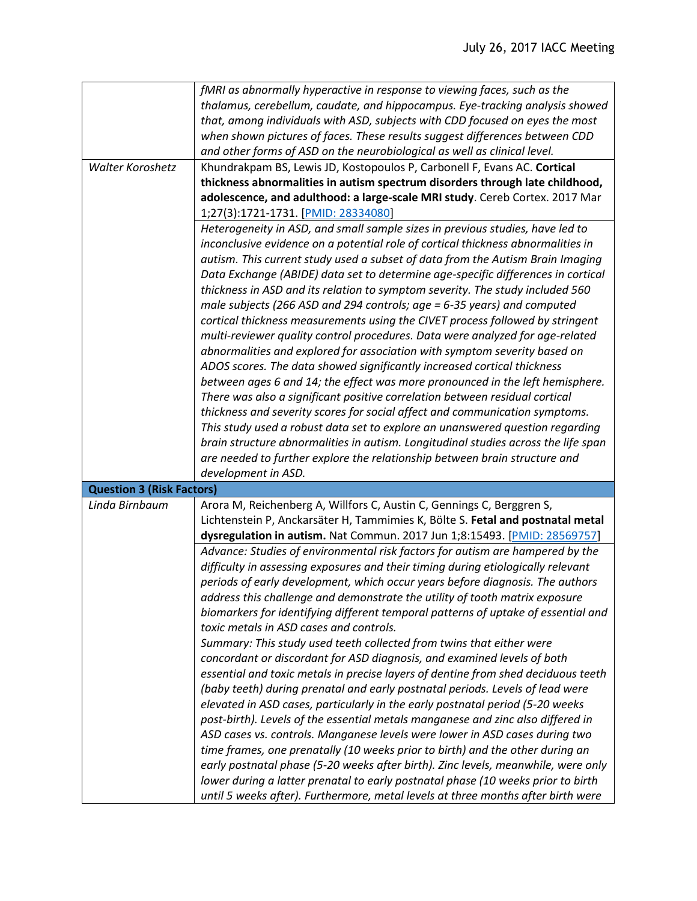|                                  | fMRI as abnormally hyperactive in response to viewing faces, such as the           |
|----------------------------------|------------------------------------------------------------------------------------|
|                                  | thalamus, cerebellum, caudate, and hippocampus. Eye-tracking analysis showed       |
|                                  | that, among individuals with ASD, subjects with CDD focused on eyes the most       |
|                                  | when shown pictures of faces. These results suggest differences between CDD        |
|                                  | and other forms of ASD on the neurobiological as well as clinical level.           |
| <b>Walter Koroshetz</b>          | Khundrakpam BS, Lewis JD, Kostopoulos P, Carbonell F, Evans AC. Cortical           |
|                                  | thickness abnormalities in autism spectrum disorders through late childhood,       |
|                                  | adolescence, and adulthood: a large-scale MRI study. Cereb Cortex. 2017 Mar        |
|                                  | 1;27(3):1721-1731. [PMID: 28334080]                                                |
|                                  | Heterogeneity in ASD, and small sample sizes in previous studies, have led to      |
|                                  | inconclusive evidence on a potential role of cortical thickness abnormalities in   |
|                                  | autism. This current study used a subset of data from the Autism Brain Imaging     |
|                                  | Data Exchange (ABIDE) data set to determine age-specific differences in cortical   |
|                                  | thickness in ASD and its relation to symptom severity. The study included 560      |
|                                  | male subjects (266 ASD and 294 controls; age = 6-35 years) and computed            |
|                                  | cortical thickness measurements using the CIVET process followed by stringent      |
|                                  | multi-reviewer quality control procedures. Data were analyzed for age-related      |
|                                  | abnormalities and explored for association with symptom severity based on          |
|                                  | ADOS scores. The data showed significantly increased cortical thickness            |
|                                  | between ages 6 and 14; the effect was more pronounced in the left hemisphere.      |
|                                  | There was also a significant positive correlation between residual cortical        |
|                                  | thickness and severity scores for social affect and communication symptoms.        |
|                                  | This study used a robust data set to explore an unanswered question regarding      |
|                                  | brain structure abnormalities in autism. Longitudinal studies across the life span |
|                                  | are needed to further explore the relationship between brain structure and         |
|                                  | development in ASD.                                                                |
| <b>Question 3 (Risk Factors)</b> |                                                                                    |
| Linda Birnbaum                   | Arora M, Reichenberg A, Willfors C, Austin C, Gennings C, Berggren S,              |
|                                  | Lichtenstein P, Anckarsäter H, Tammimies K, Bölte S. Fetal and postnatal metal     |
|                                  | dysregulation in autism. Nat Commun. 2017 Jun 1;8:15493. [PMID: 28569757]          |
|                                  | Advance: Studies of environmental risk factors for autism are hampered by the      |
|                                  | difficulty in assessing exposures and their timing during etiologically relevant   |
|                                  | periods of early development, which occur years before diagnosis. The authors      |
|                                  | address this challenge and demonstrate the utility of tooth matrix exposure        |
|                                  | biomarkers for identifying different temporal patterns of uptake of essential and  |
|                                  | toxic metals in ASD cases and controls.                                            |
|                                  | Summary: This study used teeth collected from twins that either were               |
|                                  | concordant or discordant for ASD diagnosis, and examined levels of both            |
|                                  | essential and toxic metals in precise layers of dentine from shed deciduous teeth  |
|                                  | (baby teeth) during prenatal and early postnatal periods. Levels of lead were      |
|                                  | elevated in ASD cases, particularly in the early postnatal period (5-20 weeks      |
|                                  | post-birth). Levels of the essential metals manganese and zinc also differed in    |
|                                  | ASD cases vs. controls. Manganese levels were lower in ASD cases during two        |
|                                  | time frames, one prenatally (10 weeks prior to birth) and the other during an      |
|                                  |                                                                                    |
|                                  | early postnatal phase (5-20 weeks after birth). Zinc levels, meanwhile, were only  |
|                                  | lower during a latter prenatal to early postnatal phase (10 weeks prior to birth   |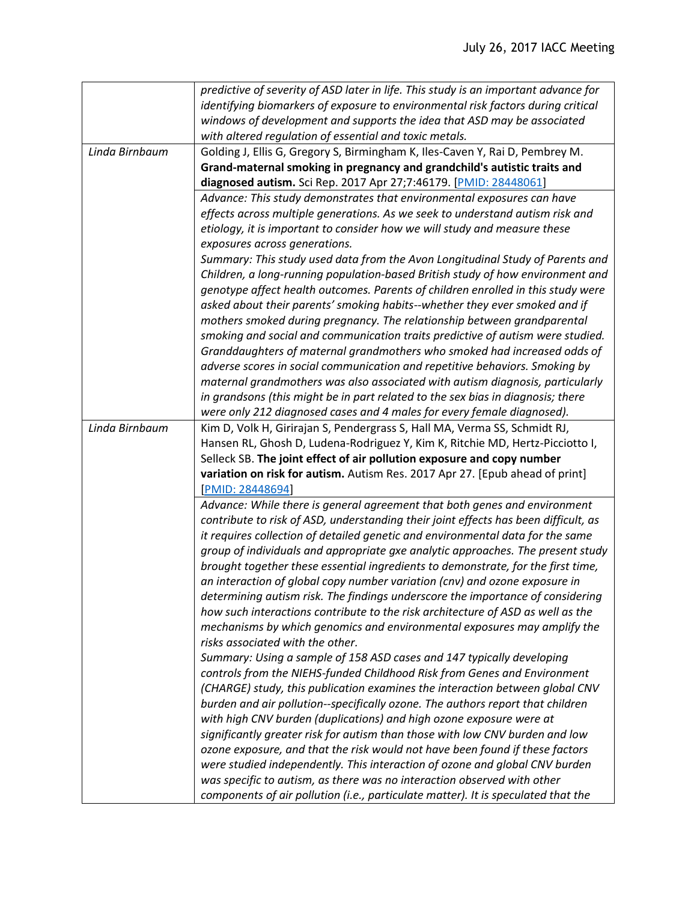|                | predictive of severity of ASD later in life. This study is an important advance for |
|----------------|-------------------------------------------------------------------------------------|
|                | identifying biomarkers of exposure to environmental risk factors during critical    |
|                | windows of development and supports the idea that ASD may be associated             |
|                | with altered regulation of essential and toxic metals.                              |
| Linda Birnbaum | Golding J, Ellis G, Gregory S, Birmingham K, Iles-Caven Y, Rai D, Pembrey M.        |
|                | Grand-maternal smoking in pregnancy and grandchild's autistic traits and            |
|                | diagnosed autism. Sci Rep. 2017 Apr 27;7:46179. [PMID: 28448061]                    |
|                | Advance: This study demonstrates that environmental exposures can have              |
|                | effects across multiple generations. As we seek to understand autism risk and       |
|                | etiology, it is important to consider how we will study and measure these           |
|                | exposures across generations.                                                       |
|                | Summary: This study used data from the Avon Longitudinal Study of Parents and       |
|                | Children, a long-running population-based British study of how environment and      |
|                | genotype affect health outcomes. Parents of children enrolled in this study were    |
|                | asked about their parents' smoking habits--whether they ever smoked and if          |
|                | mothers smoked during pregnancy. The relationship between grandparental             |
|                | smoking and social and communication traits predictive of autism were studied.      |
|                | Granddaughters of maternal grandmothers who smoked had increased odds of            |
|                | adverse scores in social communication and repetitive behaviors. Smoking by         |
|                | maternal grandmothers was also associated with autism diagnosis, particularly       |
|                | in grandsons (this might be in part related to the sex bias in diagnosis; there     |
|                | were only 212 diagnosed cases and 4 males for every female diagnosed).              |
| Linda Birnbaum | Kim D, Volk H, Girirajan S, Pendergrass S, Hall MA, Verma SS, Schmidt RJ,           |
|                |                                                                                     |
|                | Hansen RL, Ghosh D, Ludena-Rodriguez Y, Kim K, Ritchie MD, Hertz-Picciotto I,       |
|                | Selleck SB. The joint effect of air pollution exposure and copy number              |
|                | variation on risk for autism. Autism Res. 2017 Apr 27. [Epub ahead of print]        |
|                | [PMID: 28448694]                                                                    |
|                | Advance: While there is general agreement that both genes and environment           |
|                | contribute to risk of ASD, understanding their joint effects has been difficult, as |
|                | it requires collection of detailed genetic and environmental data for the same      |
|                | group of individuals and appropriate gxe analytic approaches. The present study     |
|                | brought together these essential ingredients to demonstrate, for the first time,    |
|                | an interaction of global copy number variation (cnv) and ozone exposure in          |
|                | determining autism risk. The findings underscore the importance of considering      |
|                | how such interactions contribute to the risk architecture of ASD as well as the     |
|                | mechanisms by which genomics and environmental exposures may amplify the            |
|                | risks associated with the other.                                                    |
|                | Summary: Using a sample of 158 ASD cases and 147 typically developing               |
|                | controls from the NIEHS-funded Childhood Risk from Genes and Environment            |
|                | (CHARGE) study, this publication examines the interaction between global CNV        |
|                | burden and air pollution--specifically ozone. The authors report that children      |
|                | with high CNV burden (duplications) and high ozone exposure were at                 |
|                | significantly greater risk for autism than those with low CNV burden and low        |
|                | ozone exposure, and that the risk would not have been found if these factors        |
|                | were studied independently. This interaction of ozone and global CNV burden         |
|                | was specific to autism, as there was no interaction observed with other             |
|                | components of air pollution (i.e., particulate matter). It is speculated that the   |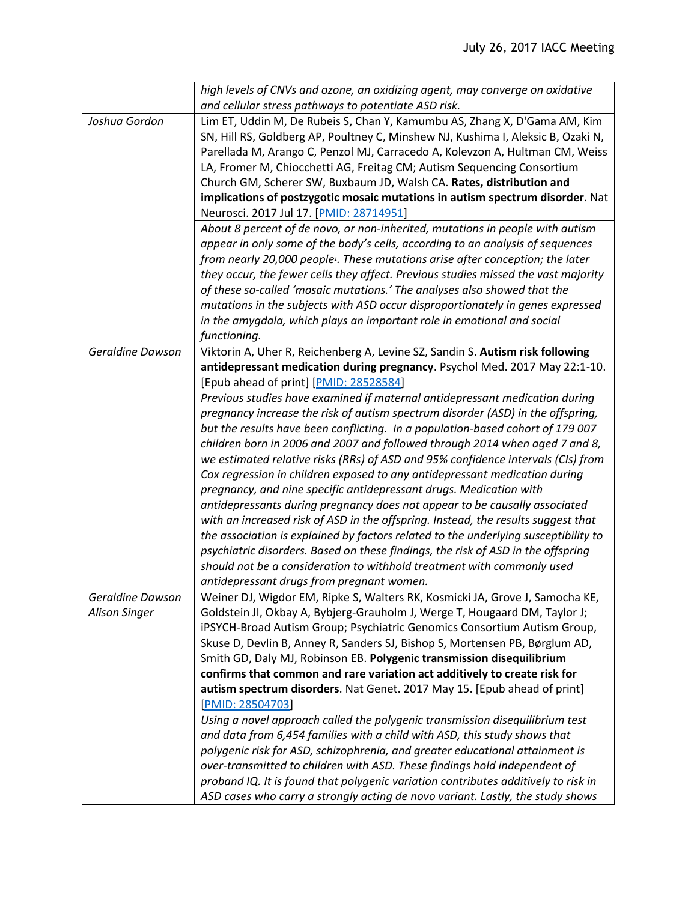|                      | high levels of CNVs and ozone, an oxidizing agent, may converge on oxidative               |
|----------------------|--------------------------------------------------------------------------------------------|
|                      | and cellular stress pathways to potentiate ASD risk.                                       |
| Joshua Gordon        | Lim ET, Uddin M, De Rubeis S, Chan Y, Kamumbu AS, Zhang X, D'Gama AM, Kim                  |
|                      | SN, Hill RS, Goldberg AP, Poultney C, Minshew NJ, Kushima I, Aleksic B, Ozaki N,           |
|                      | Parellada M, Arango C, Penzol MJ, Carracedo A, Kolevzon A, Hultman CM, Weiss               |
|                      | LA, Fromer M, Chiocchetti AG, Freitag CM; Autism Sequencing Consortium                     |
|                      | Church GM, Scherer SW, Buxbaum JD, Walsh CA. Rates, distribution and                       |
|                      | implications of postzygotic mosaic mutations in autism spectrum disorder. Nat              |
|                      | Neurosci. 2017 Jul 17. [PMID: 28714951]                                                    |
|                      | About 8 percent of de novo, or non-inherited, mutations in people with autism              |
|                      | appear in only some of the body's cells, according to an analysis of sequences             |
|                      |                                                                                            |
|                      | from nearly 20,000 people <sup>1</sup> . These mutations arise after conception; the later |
|                      | they occur, the fewer cells they affect. Previous studies missed the vast majority         |
|                      | of these so-called 'mosaic mutations.' The analyses also showed that the                   |
|                      | mutations in the subjects with ASD occur disproportionately in genes expressed             |
|                      | in the amygdala, which plays an important role in emotional and social                     |
|                      | functioning.                                                                               |
| Geraldine Dawson     | Viktorin A, Uher R, Reichenberg A, Levine SZ, Sandin S. Autism risk following              |
|                      | antidepressant medication during pregnancy. Psychol Med. 2017 May 22:1-10.                 |
|                      | [Epub ahead of print] [PMID: 28528584]                                                     |
|                      | Previous studies have examined if maternal antidepressant medication during                |
|                      | pregnancy increase the risk of autism spectrum disorder (ASD) in the offspring,            |
|                      | but the results have been conflicting. In a population-based cohort of 179 007             |
|                      | children born in 2006 and 2007 and followed through 2014 when aged 7 and 8,                |
|                      | we estimated relative risks (RRs) of ASD and 95% confidence intervals (CIs) from           |
|                      | Cox regression in children exposed to any antidepressant medication during                 |
|                      | pregnancy, and nine specific antidepressant drugs. Medication with                         |
|                      | antidepressants during pregnancy does not appear to be causally associated                 |
|                      | with an increased risk of ASD in the offspring. Instead, the results suggest that          |
|                      | the association is explained by factors related to the underlying susceptibility to        |
|                      | psychiatric disorders. Based on these findings, the risk of ASD in the offspring           |
|                      | should not be a consideration to withhold treatment with commonly used                     |
|                      | antidepressant drugs from pregnant women.                                                  |
| Geraldine Dawson     | Weiner DJ, Wigdor EM, Ripke S, Walters RK, Kosmicki JA, Grove J, Samocha KE,               |
| <b>Alison Singer</b> | Goldstein JI, Okbay A, Bybjerg-Grauholm J, Werge T, Hougaard DM, Taylor J;                 |
|                      | iPSYCH-Broad Autism Group; Psychiatric Genomics Consortium Autism Group,                   |
|                      | Skuse D, Devlin B, Anney R, Sanders SJ, Bishop S, Mortensen PB, Børglum AD,                |
|                      |                                                                                            |
|                      | Smith GD, Daly MJ, Robinson EB. Polygenic transmission disequilibrium                      |
|                      | confirms that common and rare variation act additively to create risk for                  |
|                      | autism spectrum disorders. Nat Genet. 2017 May 15. [Epub ahead of print]                   |
|                      | [PMID: 28504703]                                                                           |
|                      | Using a novel approach called the polygenic transmission disequilibrium test               |
|                      | and data from 6,454 families with a child with ASD, this study shows that                  |
|                      | polygenic risk for ASD, schizophrenia, and greater educational attainment is               |
|                      | over-transmitted to children with ASD. These findings hold independent of                  |
|                      | proband IQ. It is found that polygenic variation contributes additively to risk in         |
|                      | ASD cases who carry a strongly acting de novo variant. Lastly, the study shows             |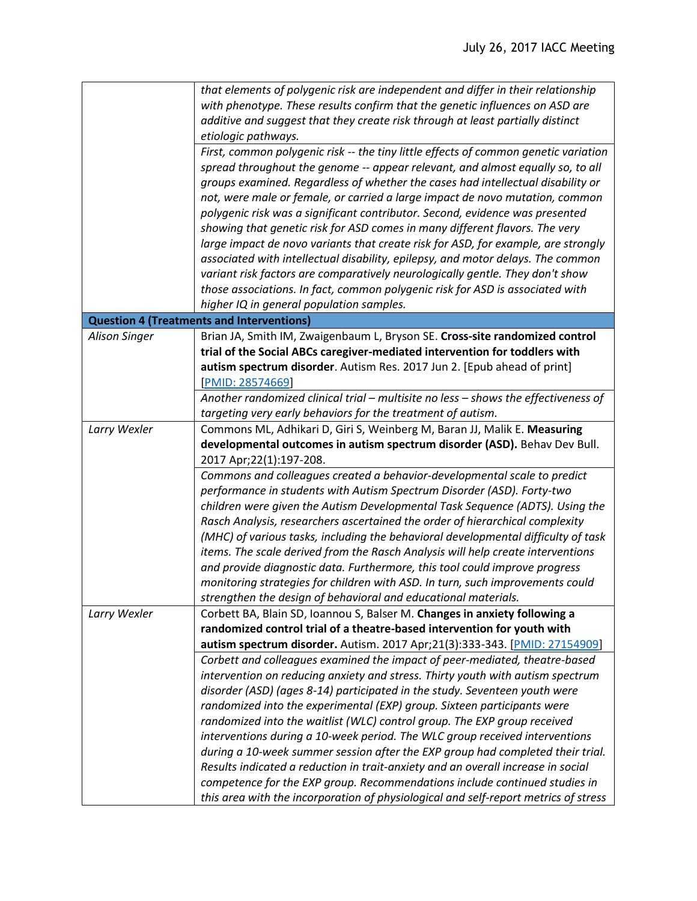|                      | that elements of polygenic risk are independent and differ in their relationship                                                                      |
|----------------------|-------------------------------------------------------------------------------------------------------------------------------------------------------|
|                      | with phenotype. These results confirm that the genetic influences on ASD are                                                                          |
|                      | additive and suggest that they create risk through at least partially distinct                                                                        |
|                      | etiologic pathways.                                                                                                                                   |
|                      | First, common polygenic risk -- the tiny little effects of common genetic variation                                                                   |
|                      | spread throughout the genome -- appear relevant, and almost equally so, to all                                                                        |
|                      | groups examined. Regardless of whether the cases had intellectual disability or                                                                       |
|                      | not, were male or female, or carried a large impact de novo mutation, common                                                                          |
|                      | polygenic risk was a significant contributor. Second, evidence was presented                                                                          |
|                      | showing that genetic risk for ASD comes in many different flavors. The very                                                                           |
|                      | large impact de novo variants that create risk for ASD, for example, are strongly                                                                     |
|                      | associated with intellectual disability, epilepsy, and motor delays. The common                                                                       |
|                      | variant risk factors are comparatively neurologically gentle. They don't show                                                                         |
|                      | those associations. In fact, common polygenic risk for ASD is associated with                                                                         |
|                      | higher IQ in general population samples.                                                                                                              |
|                      | <b>Question 4 (Treatments and Interventions)</b>                                                                                                      |
| <b>Alison Singer</b> | Brian JA, Smith IM, Zwaigenbaum L, Bryson SE. Cross-site randomized control                                                                           |
|                      | trial of the Social ABCs caregiver-mediated intervention for toddlers with                                                                            |
|                      | autism spectrum disorder. Autism Res. 2017 Jun 2. [Epub ahead of print]                                                                               |
|                      | [PMID: 28574669]                                                                                                                                      |
|                      | Another randomized clinical trial - multisite no less - shows the effectiveness of                                                                    |
|                      | targeting very early behaviors for the treatment of autism.                                                                                           |
| Larry Wexler         | Commons ML, Adhikari D, Giri S, Weinberg M, Baran JJ, Malik E. Measuring                                                                              |
|                      | developmental outcomes in autism spectrum disorder (ASD). Behav Dev Bull.                                                                             |
|                      | 2017 Apr;22(1):197-208.                                                                                                                               |
|                      | Commons and colleagues created a behavior-developmental scale to predict                                                                              |
|                      | performance in students with Autism Spectrum Disorder (ASD). Forty-two                                                                                |
|                      | children were given the Autism Developmental Task Sequence (ADTS). Using the                                                                          |
|                      | Rasch Analysis, researchers ascertained the order of hierarchical complexity                                                                          |
|                      | (MHC) of various tasks, including the behavioral developmental difficulty of task                                                                     |
|                      | items. The scale derived from the Rasch Analysis will help create interventions                                                                       |
|                      | and provide diagnostic data. Furthermore, this tool could improve progress                                                                            |
|                      | monitoring strategies for children with ASD. In turn, such improvements could                                                                         |
|                      | strengthen the design of behavioral and educational materials.                                                                                        |
| Larry Wexler         | Corbett BA, Blain SD, Ioannou S, Balser M. Changes in anxiety following a                                                                             |
|                      | randomized control trial of a theatre-based intervention for youth with<br>autism spectrum disorder. Autism. 2017 Apr;21(3):333-343. [PMID: 27154909] |
|                      | Corbett and colleagues examined the impact of peer-mediated, theatre-based                                                                            |
|                      | intervention on reducing anxiety and stress. Thirty youth with autism spectrum                                                                        |
|                      | disorder (ASD) (ages 8-14) participated in the study. Seventeen youth were                                                                            |
|                      | randomized into the experimental (EXP) group. Sixteen participants were                                                                               |
|                      | randomized into the waitlist (WLC) control group. The EXP group received                                                                              |
|                      | interventions during a 10-week period. The WLC group received interventions                                                                           |
|                      | during a 10-week summer session after the EXP group had completed their trial.                                                                        |
|                      | Results indicated a reduction in trait-anxiety and an overall increase in social                                                                      |
|                      | competence for the EXP group. Recommendations include continued studies in                                                                            |
|                      | this area with the incorporation of physiological and self-report metrics of stress                                                                   |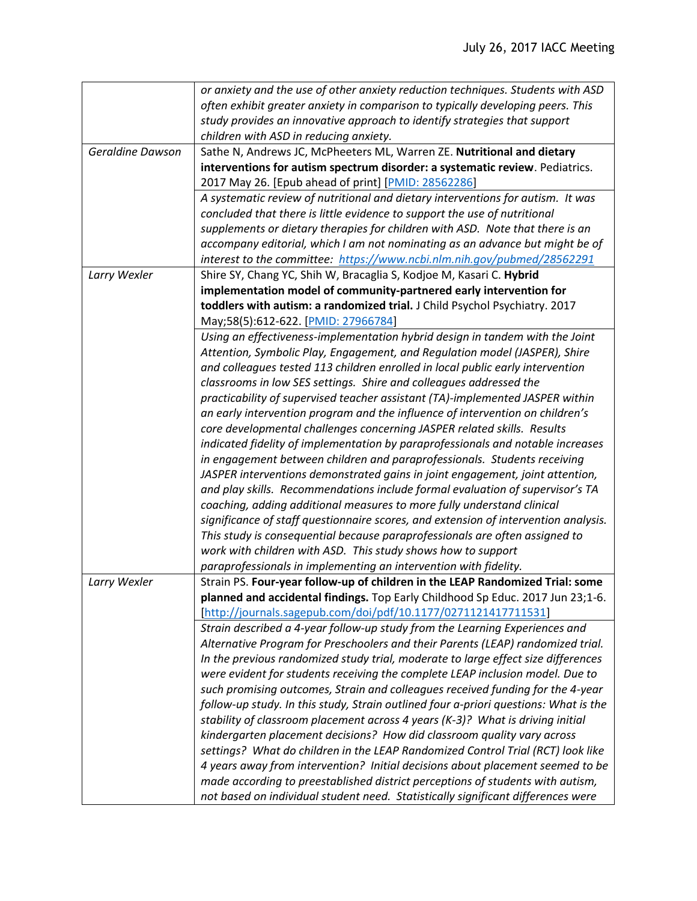|                         | or anxiety and the use of other anxiety reduction techniques. Students with ASD      |
|-------------------------|--------------------------------------------------------------------------------------|
|                         | often exhibit greater anxiety in comparison to typically developing peers. This      |
|                         | study provides an innovative approach to identify strategies that support            |
|                         | children with ASD in reducing anxiety.                                               |
| <b>Geraldine Dawson</b> | Sathe N, Andrews JC, McPheeters ML, Warren ZE. Nutritional and dietary               |
|                         | interventions for autism spectrum disorder: a systematic review. Pediatrics.         |
|                         | 2017 May 26. [Epub ahead of print] [PMID: 28562286]                                  |
|                         | A systematic review of nutritional and dietary interventions for autism. It was      |
|                         | concluded that there is little evidence to support the use of nutritional            |
|                         | supplements or dietary therapies for children with ASD. Note that there is an        |
|                         | accompany editorial, which I am not nominating as an advance but might be of         |
|                         | interest to the committee: https://www.ncbi.nlm.nih.gov/pubmed/28562291              |
| Larry Wexler            | Shire SY, Chang YC, Shih W, Bracaglia S, Kodjoe M, Kasari C. Hybrid                  |
|                         | implementation model of community-partnered early intervention for                   |
|                         | toddlers with autism: a randomized trial. J Child Psychol Psychiatry. 2017           |
|                         | May;58(5):612-622. [PMID: 27966784]                                                  |
|                         | Using an effectiveness-implementation hybrid design in tandem with the Joint         |
|                         | Attention, Symbolic Play, Engagement, and Regulation model (JASPER), Shire           |
|                         | and colleagues tested 113 children enrolled in local public early intervention       |
|                         | classrooms in low SES settings. Shire and colleagues addressed the                   |
|                         | practicability of supervised teacher assistant (TA)-implemented JASPER within        |
|                         | an early intervention program and the influence of intervention on children's        |
|                         | core developmental challenges concerning JASPER related skills. Results              |
|                         | indicated fidelity of implementation by paraprofessionals and notable increases      |
|                         | in engagement between children and paraprofessionals. Students receiving             |
|                         | JASPER interventions demonstrated gains in joint engagement, joint attention,        |
|                         | and play skills. Recommendations include formal evaluation of supervisor's TA        |
|                         | coaching, adding additional measures to more fully understand clinical               |
|                         | significance of staff questionnaire scores, and extension of intervention analysis.  |
|                         | This study is consequential because paraprofessionals are often assigned to          |
|                         | work with children with ASD. This study shows how to support                         |
|                         | paraprofessionals in implementing an intervention with fidelity.                     |
| Larry Wexler            | Strain PS. Four-year follow-up of children in the LEAP Randomized Trial: some        |
|                         | planned and accidental findings. Top Early Childhood Sp Educ. 2017 Jun 23;1-6.       |
|                         | [http://journals.sagepub.com/doi/pdf/10.1177/0271121417711531]                       |
|                         | Strain described a 4-year follow-up study from the Learning Experiences and          |
|                         | Alternative Program for Preschoolers and their Parents (LEAP) randomized trial.      |
|                         | In the previous randomized study trial, moderate to large effect size differences    |
|                         | were evident for students receiving the complete LEAP inclusion model. Due to        |
|                         | such promising outcomes, Strain and colleagues received funding for the 4-year       |
|                         | follow-up study. In this study, Strain outlined four a-priori questions: What is the |
|                         | stability of classroom placement across 4 years (K-3)? What is driving initial       |
|                         | kindergarten placement decisions? How did classroom quality vary across              |
|                         | settings? What do children in the LEAP Randomized Control Trial (RCT) look like      |
|                         | 4 years away from intervention? Initial decisions about placement seemed to be       |
|                         | made according to preestablished district perceptions of students with autism,       |
|                         | not based on individual student need. Statistically significant differences were     |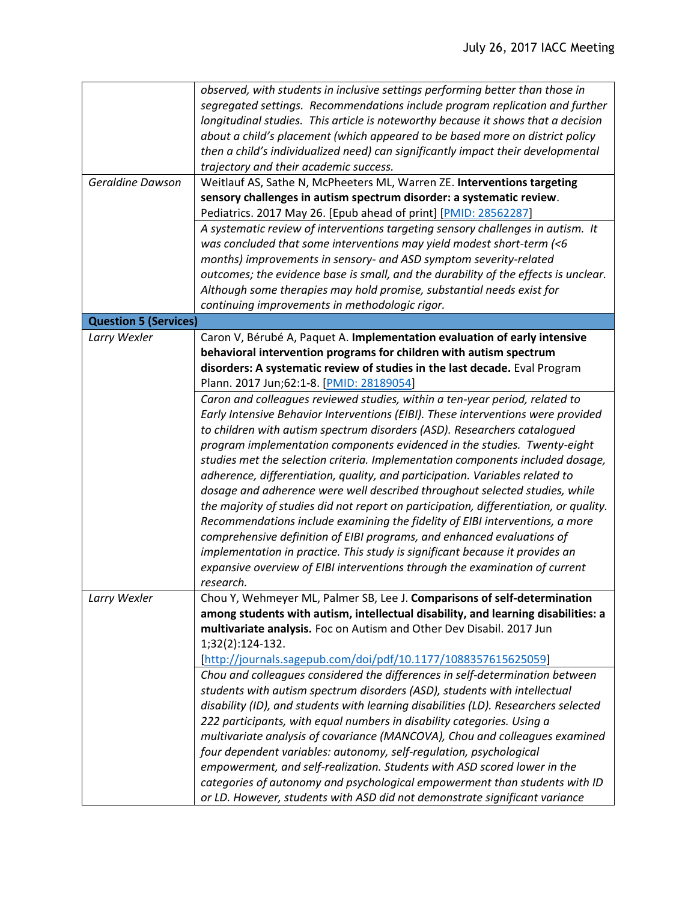|                              | observed, with students in inclusive settings performing better than those in         |
|------------------------------|---------------------------------------------------------------------------------------|
|                              | segregated settings. Recommendations include program replication and further          |
|                              | longitudinal studies. This article is noteworthy because it shows that a decision     |
|                              | about a child's placement (which appeared to be based more on district policy         |
|                              | then a child's individualized need) can significantly impact their developmental      |
|                              | trajectory and their academic success.                                                |
| Geraldine Dawson             | Weitlauf AS, Sathe N, McPheeters ML, Warren ZE. Interventions targeting               |
|                              | sensory challenges in autism spectrum disorder: a systematic review.                  |
|                              | Pediatrics. 2017 May 26. [Epub ahead of print] [PMID: 28562287]                       |
|                              | A systematic review of interventions targeting sensory challenges in autism. It       |
|                              | was concluded that some interventions may yield modest short-term (<6                 |
|                              | months) improvements in sensory- and ASD symptom severity-related                     |
|                              |                                                                                       |
|                              | outcomes; the evidence base is small, and the durability of the effects is unclear.   |
|                              | Although some therapies may hold promise, substantial needs exist for                 |
|                              | continuing improvements in methodologic rigor.                                        |
| <b>Question 5 (Services)</b> |                                                                                       |
| Larry Wexler                 | Caron V, Bérubé A, Paquet A. Implementation evaluation of early intensive             |
|                              | behavioral intervention programs for children with autism spectrum                    |
|                              | disorders: A systematic review of studies in the last decade. Eval Program            |
|                              | Plann. 2017 Jun;62:1-8. [PMID: 28189054]                                              |
|                              | Caron and colleagues reviewed studies, within a ten-year period, related to           |
|                              | Early Intensive Behavior Interventions (EIBI). These interventions were provided      |
|                              | to children with autism spectrum disorders (ASD). Researchers catalogued              |
|                              | program implementation components evidenced in the studies. Twenty-eight              |
|                              | studies met the selection criteria. Implementation components included dosage,        |
|                              | adherence, differentiation, quality, and participation. Variables related to          |
|                              | dosage and adherence were well described throughout selected studies, while           |
|                              | the majority of studies did not report on participation, differentiation, or quality. |
|                              | Recommendations include examining the fidelity of EIBI interventions, a more          |
|                              | comprehensive definition of EIBI programs, and enhanced evaluations of                |
|                              | implementation in practice. This study is significant because it provides an          |
|                              | expansive overview of EIBI interventions through the examination of current           |
|                              | research.                                                                             |
| Larry Wexler                 | Chou Y, Wehmeyer ML, Palmer SB, Lee J. Comparisons of self-determination              |
|                              | among students with autism, intellectual disability, and learning disabilities: a     |
|                              | multivariate analysis. Foc on Autism and Other Dev Disabil. 2017 Jun                  |
|                              | 1;32(2):124-132.                                                                      |
|                              | [http://journals.sagepub.com/doi/pdf/10.1177/1088357615625059]                        |
|                              | Chou and colleagues considered the differences in self-determination between          |
|                              | students with autism spectrum disorders (ASD), students with intellectual             |
|                              | disability (ID), and students with learning disabilities (LD). Researchers selected   |
|                              | 222 participants, with equal numbers in disability categories. Using a                |
|                              | multivariate analysis of covariance (MANCOVA), Chou and colleagues examined           |
|                              | four dependent variables: autonomy, self-regulation, psychological                    |
|                              | empowerment, and self-realization. Students with ASD scored lower in the              |
|                              | categories of autonomy and psychological empowerment than students with ID            |
|                              | or LD. However, students with ASD did not demonstrate significant variance            |
|                              |                                                                                       |